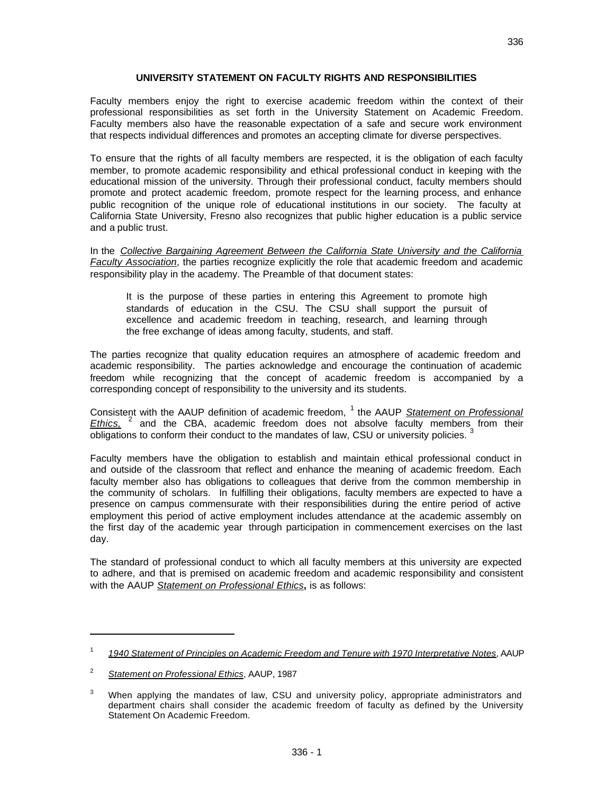## **UNIVERSITY STATEMENT ON FACULTY RIGHTS AND RESPONSIBILITIES**

Faculty members enjoy the right to exercise academic freedom within the context of their professional responsibilities as set forth in the University Statement on Academic Freedom. Faculty members also have the reasonable expectation of a safe and secure work environment that respects individual differences and promotes an accepting climate for diverse perspectives.

To ensure that the rights of all faculty members are respected, it is the obligation of each faculty member, to promote academic responsibility and ethical professional conduct in keeping with the educational mission of the university. Through their professional conduct, faculty members should promote and protect academic freedom, promote respect for the learning process, and enhance public recognition of the unique role of educational institutions in our society. The faculty at California State University, Fresno also recognizes that public higher education is a public service and a public trust.

In the *Collective Bargaining Agreement Between the California State University and the California Faculty Association*, the parties recognize explicitly the role that academic freedom and academic responsibility play in the academy. The Preamble of that document states:

It is the purpose of these parties in entering this Agreement to promote high standards of education in the CSU. The CSU shall support the pursuit of excellence and academic freedom in teaching, research, and learning through the free exchange of ideas among faculty, students, and staff.

The parties recognize that quality education requires an atmosphere of academic freedom and academic responsibility. The parties acknowledge and encourage the continuation of academic freedom while recognizing that the concept of academic freedom is accompanied by a corresponding concept of responsibility to the university and its students.

Consistent with the AAUP definition of academic freedom, <sup>1</sup> the AAUP **Statement on Professional** Ethics,  $^2$  and the CBA, academic freedom does not absolve faculty members from their obligations to conform their conduct to the mandates of law, CSU or university policies. <sup>3</sup>

Faculty members have the obligation to establish and maintain ethical professional conduct in and outside of the classroom that reflect and enhance the meaning of academic freedom. Each faculty member also has obligations to colleagues that derive from the common membership in the community of scholars. In fulfilling their obligations, faculty members are expected to have a presence on campus commensurate with their responsibilities during the entire period of active employment this period of active employment includes attendance at the academic assembly on the first day of the academic year through participation in commencement exercises on the last day.

The standard of professional conduct to which all faculty members at this university are expected to adhere, and that is premised on academic freedom and academic responsibility and consistent with the AAUP *Statement on Professional Ethics***,** is as follows:

<sup>1</sup> *1940 Statement of Principles on Academic Freedom and Tenure with 1970 Interpretative Notes*, AAUP

<sup>2</sup> *Statement on Professional Ethics*, AAUP, 1987

<sup>&</sup>lt;sup>3</sup> When applying the mandates of law, CSU and university policy, appropriate administrators and department chairs shall consider the academic freedom of faculty as defined by the University Statement On Academic Freedom.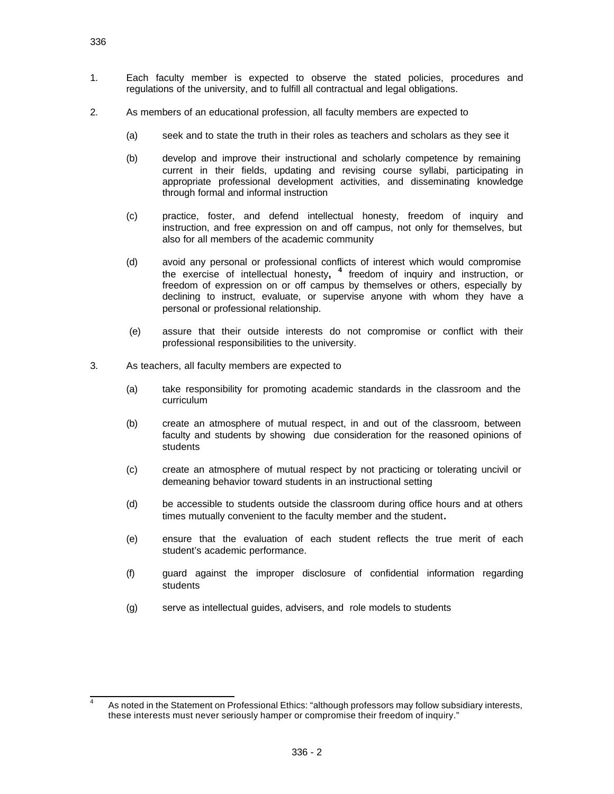- 1. Each faculty member is expected to observe the stated policies, procedures and regulations of the university, and to fulfill all contractual and legal obligations.
- 2. As members of an educational profession, all faculty members are expected to
	- (a) seek and to state the truth in their roles as teachers and scholars as they see it
	- (b) develop and improve their instructional and scholarly competence by remaining current in their fields, updating and revising course syllabi, participating in appropriate professional development activities, and disseminating knowledge through formal and informal instruction
	- (c) practice, foster, and defend intellectual honesty, freedom of inquiry and instruction, and free expression on and off campus, not only for themselves, but also for all members of the academic community
	- (d) avoid any personal or professional conflicts of interest which would compromise the exercise of intellectual honesty**, 4** freedom of inquiry and instruction, or freedom of expression on or off campus by themselves or others, especially by declining to instruct, evaluate, or supervise anyone with whom they have a personal or professional relationship.
	- (e) assure that their outside interests do not compromise or conflict with their professional responsibilities to the university.
- 3. As teachers, all faculty members are expected to
	- (a) take responsibility for promoting academic standards in the classroom and the curriculum
	- (b) create an atmosphere of mutual respect, in and out of the classroom, between faculty and students by showing due consideration for the reasoned opinions of students
	- (c) create an atmosphere of mutual respect by not practicing or tolerating uncivil or demeaning behavior toward students in an instructional setting
	- (d) be accessible to students outside the classroom during office hours and at others times mutually convenient to the faculty member and the student**.**
	- (e) ensure that the evaluation of each student reflects the true merit of each student's academic performance.
	- (f) guard against the improper disclosure of confidential information regarding students
	- (g) serve as intellectual guides, advisers, and role models to students

 $\overline{\phantom{a}}$ 4 As noted in the Statement on Professional Ethics: "although professors may follow subsidiary interests, these interests must never seriously hamper or compromise their freedom of inquiry."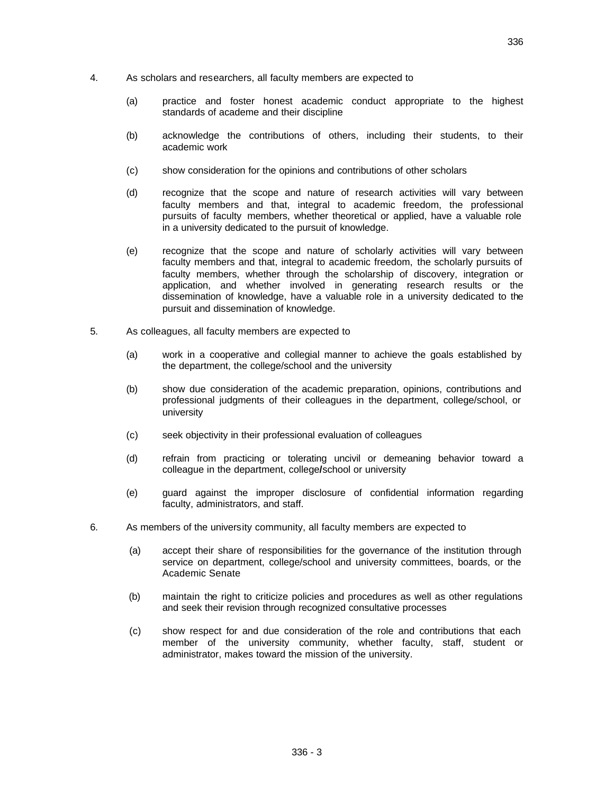- 4. As scholars and researchers, all faculty members are expected to
	- (a) practice and foster honest academic conduct appropriate to the highest standards of academe and their discipline
	- (b) acknowledge the contributions of others, including their students, to their academic work
	- (c) show consideration for the opinions and contributions of other scholars
	- (d) recognize that the scope and nature of research activities will vary between faculty members and that, integral to academic freedom, the professional pursuits of faculty members, whether theoretical or applied, have a valuable role in a university dedicated to the pursuit of knowledge.
	- (e) recognize that the scope and nature of scholarly activities will vary between faculty members and that, integral to academic freedom, the scholarly pursuits of faculty members, whether through the scholarship of discovery, integration or application, and whether involved in generating research results or the dissemination of knowledge, have a valuable role in a university dedicated to the pursuit and dissemination of knowledge.
- 5. As colleagues, all faculty members are expected to
	- (a) work in a cooperative and collegial manner to achieve the goals established by the department, the college/school and the university
	- (b) show due consideration of the academic preparation, opinions, contributions and professional judgments of their colleagues in the department, college/school, or university
	- (c) seek objectivity in their professional evaluation of colleagues
	- (d) refrain from practicing or tolerating uncivil or demeaning behavior toward a colleague in the department, college**/**school or university
	- (e) guard against the improper disclosure of confidential information regarding faculty, administrators, and staff.
- 6. As members of the university community, all faculty members are expected to
	- (a) accept their share of responsibilities for the governance of the institution through service on department, college/school and university committees, boards, or the Academic Senate
	- (b) maintain the right to criticize policies and procedures as well as other regulations and seek their revision through recognized consultative processes
	- (c) show respect for and due consideration of the role and contributions that each member of the university community, whether faculty, staff, student or administrator, makes toward the mission of the university.